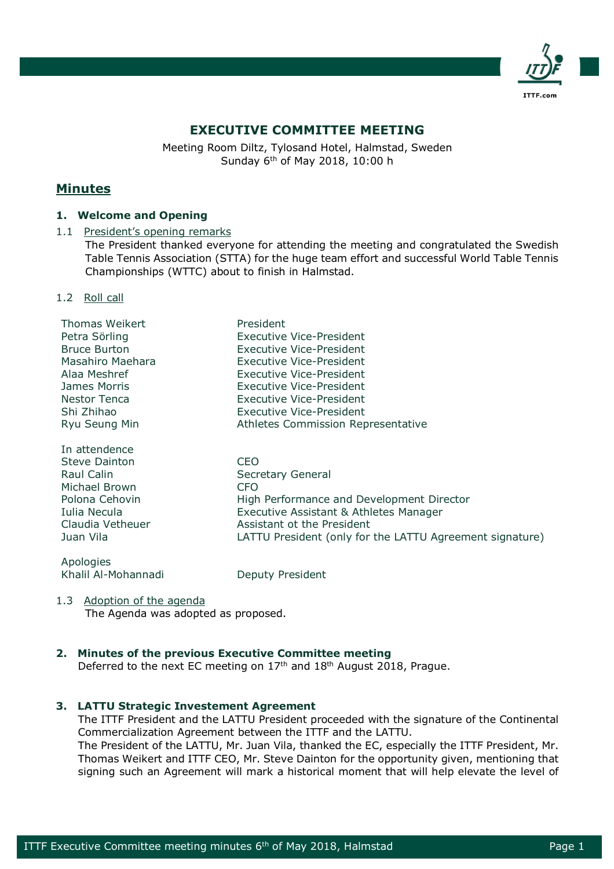

# **EXECUTIVE COMMITTEE MEETING**

Meeting Room Diltz, Tylosand Hotel, Halmstad, Sweden Sunday 6th of May 2018, 10:00 h

# **Minutes**

# **1. Welcome and Opening**

# 1.1 President's opening remarks

The President thanked everyone for attending the meeting and congratulated the Swedish Table Tennis Association (STTA) for the huge team effort and successful World Table Tennis Championships (WTTC) about to finish in Halmstad.

## 1.2 Roll call

| Thomas Weikert      | President                                                |
|---------------------|----------------------------------------------------------|
| Petra Sörling       | <b>Executive Vice-President</b>                          |
| <b>Bruce Burton</b> | <b>Executive Vice-President</b>                          |
| Masahiro Maehara    | Executive Vice-President                                 |
| Alaa Meshref        | Executive Vice-President                                 |
| James Morris        | <b>Executive Vice-President</b>                          |
| <b>Nestor Tenca</b> | <b>Executive Vice-President</b>                          |
| Shi Zhihao          | Executive Vice-President                                 |
| Ryu Seung Min       | Athletes Commission Representative                       |
| In attendence       |                                                          |
| Steve Dainton       | CEO.                                                     |
| Raul Calin          | Secretary General                                        |
| Michael Brown       | <b>CFO</b>                                               |
| Polona Cehovin      | High Performance and Development Director                |
| Iulia Necula        | Executive Assistant & Athletes Manager                   |
| Claudia Vetheuer    | Assistant ot the President                               |
| Juan Vila           | LATTU President (only for the LATTU Agreement signature) |
| Apologies           |                                                          |
| Khalil Al-Mohannadi | Deputy President                                         |

## 1.3 Adoption of the agenda

The Agenda was adopted as proposed.

# **2. Minutes of the previous Executive Committee meeting**

Deferred to the next EC meeting on 17<sup>th</sup> and 18<sup>th</sup> August 2018, Prague.

# **3. LATTU Strategic Investement Agreement**

The ITTF President and the LATTU President proceeded with the signature of the Continental Commercialization Agreement between the ITTF and the LATTU.

The President of the LATTU, Mr. Juan Vila, thanked the EC, especially the ITTF President, Mr. Thomas Weikert and ITTF CEO, Mr. Steve Dainton for the opportunity given, mentioning that signing such an Agreement will mark a historical moment that will help elevate the level of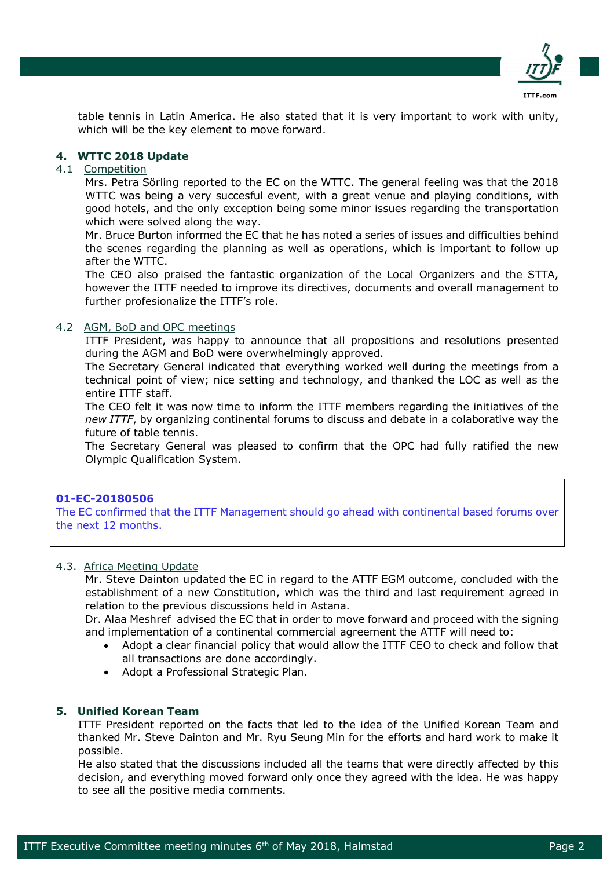

table tennis in Latin America. He also stated that it is very important to work with unity, which will be the key element to move forward.

# **4. WTTC 2018 Update**

## 4.1 Competition

Mrs. Petra Sörling reported to the EC on the WTTC. The general feeling was that the 2018 WTTC was being a very succesful event, with a great venue and playing conditions, with good hotels, and the only exception being some minor issues regarding the transportation which were solved along the way.

Mr. Bruce Burton informed the EC that he has noted a series of issues and difficulties behind the scenes regarding the planning as well as operations, which is important to follow up after the WTTC.

The CEO also praised the fantastic organization of the Local Organizers and the STTA, however the ITTF needed to improve its directives, documents and overall management to further profesionalize the ITTF's role.

#### 4.2 AGM, BoD and OPC meetings

ITTF President, was happy to announce that all propositions and resolutions presented during the AGM and BoD were overwhelmingly approved.

The Secretary General indicated that everything worked well during the meetings from a technical point of view; nice setting and technology, and thanked the LOC as well as the entire ITTF staff.

The CEO felt it was now time to inform the ITTF members regarding the initiatives of the *new ITTF*, by organizing continental forums to discuss and debate in a colaborative way the future of table tennis.

The Secretary General was pleased to confirm that the OPC had fully ratified the new Olympic Qualification System.

#### **01-EC-20180506**

The EC confirmed that the ITTF Management should go ahead with continental based forums over the next 12 months.

#### 4.3. Africa Meeting Update

Mr. Steve Dainton updated the EC in regard to the ATTF EGM outcome, concluded with the establishment of a new Constitution, which was the third and last requirement agreed in relation to the previous discussions held in Astana.

Dr. Alaa Meshref advised the EC that in order to move forward and proceed with the signing and implementation of a continental commercial agreement the ATTF will need to:

- Adopt a clear financial policy that would allow the ITTF CEO to check and follow that all transactions are done accordingly.
- Adopt a Professional Strategic Plan.

#### **5. Unified Korean Team**

ITTF President reported on the facts that led to the idea of the Unified Korean Team and thanked Mr. Steve Dainton and Mr. Ryu Seung Min for the efforts and hard work to make it possible.

He also stated that the discussions included all the teams that were directly affected by this decision, and everything moved forward only once they agreed with the idea. He was happy to see all the positive media comments.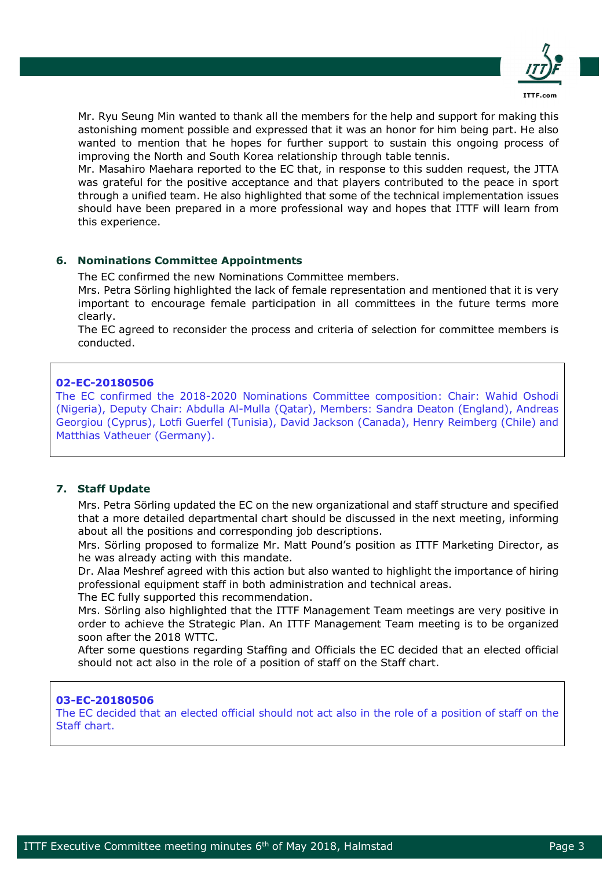

Mr. Ryu Seung Min wanted to thank all the members for the help and support for making this astonishing moment possible and expressed that it was an honor for him being part. He also wanted to mention that he hopes for further support to sustain this ongoing process of improving the North and South Korea relationship through table tennis.

Mr. Masahiro Maehara reported to the EC that, in response to this sudden request, the JTTA was grateful for the positive acceptance and that players contributed to the peace in sport through a unified team. He also highlighted that some of the technical implementation issues should have been prepared in a more professional way and hopes that ITTF will learn from this experience.

# **6. Nominations Committee Appointments**

The EC confirmed the new Nominations Committee members.

Mrs. Petra Sörling highlighted the lack of female representation and mentioned that it is very important to encourage female participation in all committees in the future terms more clearly.

The EC agreed to reconsider the process and criteria of selection for committee members is conducted.

## **02-EC-20180506**

The EC confirmed the 2018-2020 Nominations Committee composition: Chair: Wahid Oshodi (Nigeria), Deputy Chair: Abdulla Al-Mulla (Qatar), Members: Sandra Deaton (England), Andreas Georgiou (Cyprus), Lotfi Guerfel (Tunisia), David Jackson (Canada), Henry Reimberg (Chile) and Matthias Vatheuer (Germany).

## **7. Staff Update**

Mrs. Petra Sörling updated the EC on the new organizational and staff structure and specified that a more detailed departmental chart should be discussed in the next meeting, informing about all the positions and corresponding job descriptions.

Mrs. Sörling proposed to formalize Mr. Matt Pound's position as ITTF Marketing Director, as he was already acting with this mandate.

Dr. Alaa Meshref agreed with this action but also wanted to highlight the importance of hiring professional equipment staff in both administration and technical areas.

The EC fully supported this recommendation.

Mrs. Sörling also highlighted that the ITTF Management Team meetings are very positive in order to achieve the Strategic Plan. An ITTF Management Team meeting is to be organized soon after the 2018 WTTC.

After some questions regarding Staffing and Officials the EC decided that an elected official should not act also in the role of a position of staff on the Staff chart.

## **03-EC-20180506**

The EC decided that an elected official should not act also in the role of a position of staff on the Staff chart.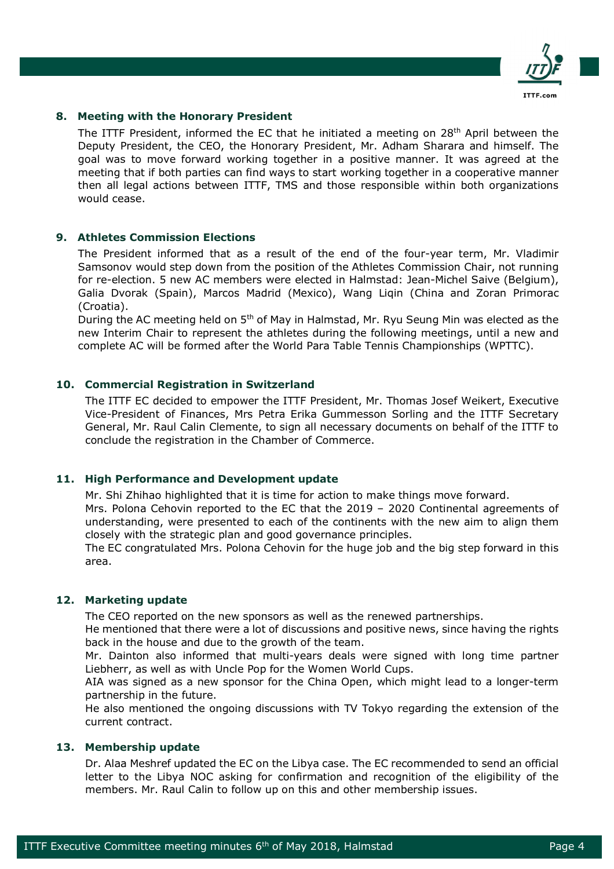

# **8. Meeting with the Honorary President**

The ITTF President, informed the EC that he initiated a meeting on 28th April between the Deputy President, the CEO, the Honorary President, Mr. Adham Sharara and himself. The goal was to move forward working together in a positive manner. It was agreed at the meeting that if both parties can find ways to start working together in a cooperative manner then all legal actions between ITTF, TMS and those responsible within both organizations would cease.

## **9. Athletes Commission Elections**

The President informed that as a result of the end of the four-year term, Mr. Vladimir Samsonov would step down from the position of the Athletes Commission Chair, not running for re-election. 5 new AC members were elected in Halmstad: Jean-Michel Saive (Belgium), Galia Dvorak (Spain), Marcos Madrid (Mexico), Wang Liqin (China and Zoran Primorac (Croatia).

During the AC meeting held on 5<sup>th</sup> of May in Halmstad, Mr. Ryu Seung Min was elected as the new Interim Chair to represent the athletes during the following meetings, until a new and complete AC will be formed after the World Para Table Tennis Championships (WPTTC).

## **10. Commercial Registration in Switzerland**

The ITTF EC decided to empower the ITTF President, Mr. Thomas Josef Weikert, Executive Vice-President of Finances, Mrs Petra Erika Gummesson Sorling and the ITTF Secretary General, Mr. Raul Calin Clemente, to sign all necessary documents on behalf of the ITTF to conclude the registration in the Chamber of Commerce.

# **11. High Performance and Development update**

Mr. Shi Zhihao highlighted that it is time for action to make things move forward.

Mrs. Polona Cehovin reported to the EC that the 2019 – 2020 Continental agreements of understanding, were presented to each of the continents with the new aim to align them closely with the strategic plan and good governance principles.

The EC congratulated Mrs. Polona Cehovin for the huge job and the big step forward in this area.

#### **12. Marketing update**

The CEO reported on the new sponsors as well as the renewed partnerships.

He mentioned that there were a lot of discussions and positive news, since having the rights back in the house and due to the growth of the team.

Mr. Dainton also informed that multi-years deals were signed with long time partner Liebherr, as well as with Uncle Pop for the Women World Cups.

AIA was signed as a new sponsor for the China Open, which might lead to a longer-term partnership in the future.

He also mentioned the ongoing discussions with TV Tokyo regarding the extension of the current contract.

#### **13. Membership update**

Dr. Alaa Meshref updated the EC on the Libya case. The EC recommended to send an official letter to the Libya NOC asking for confirmation and recognition of the eligibility of the members. Mr. Raul Calin to follow up on this and other membership issues.